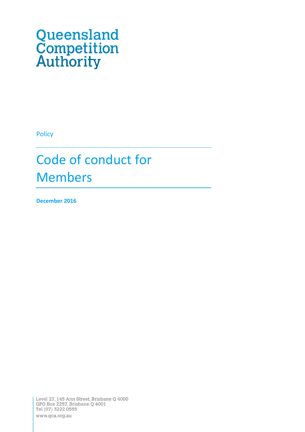# Queensland<br>Competition<br>Authority

Policy

# Code of conduct for Members

**December 2016**

Level 27, 145 Ann Street, Brisbane Q 4000<br>GPO Box 2257, Brisbane Q 4001 Tel (07) 3222 0555 www.qca.org.au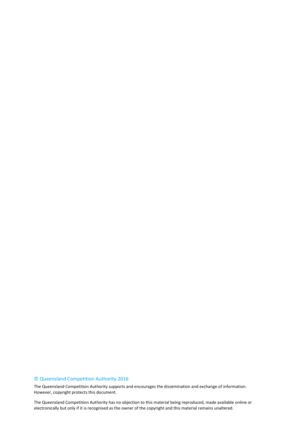#### © Queensland Competition Authority 2016

The Queensland Competition Authority supports and encourages the dissemination and exchange of information. However, copyright protects this document.

 2 electronically but only if it is recognised as the owner of the copyright and this material remains unaltered.The Queensland Competition Authority has no objection to this material being reproduced, made available online or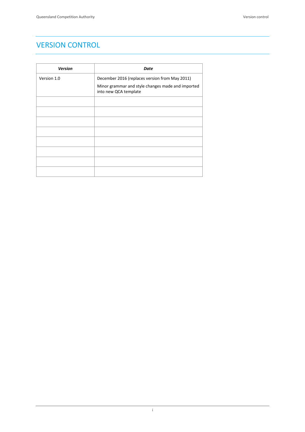# <span id="page-2-0"></span>VERSION CONTROL

| <b>Version</b> | Date                                                                       |
|----------------|----------------------------------------------------------------------------|
| Version 1.0    | December 2016 (replaces version from May 2011)                             |
|                | Minor grammar and style changes made and imported<br>into new QCA template |
|                |                                                                            |
|                |                                                                            |
|                |                                                                            |
|                |                                                                            |
|                |                                                                            |
|                |                                                                            |
|                |                                                                            |
|                |                                                                            |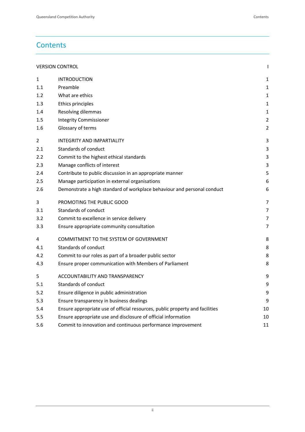# **Contents**

| <b>VERSION CONTROL</b> |                                                                              |    |
|------------------------|------------------------------------------------------------------------------|----|
| 1                      | <b>INTRODUCTION</b>                                                          | 1  |
| 1.1                    | Preamble                                                                     | 1  |
| 1.2                    | What are ethics                                                              | 1  |
| 1.3                    | Ethics principles                                                            | 1  |
| 1.4                    | Resolving dilemmas                                                           | 1  |
| 1.5                    | <b>Integrity Commissioner</b>                                                | 2  |
| 1.6                    | Glossary of terms                                                            | 2  |
| 2                      | <b>INTEGRITY AND IMPARTIALITY</b>                                            | 3  |
| 2.1                    | Standards of conduct                                                         | 3  |
| 2.2                    | Commit to the highest ethical standards                                      | 3  |
| 2.3                    | Manage conflicts of interest                                                 | 3  |
| 2.4                    | Contribute to public discussion in an appropriate manner                     | 5  |
| 2.5                    | Manage participation in external organisations                               | 6  |
| 2.6                    | Demonstrate a high standard of workplace behaviour and personal conduct      | 6  |
| 3                      | PROMOTING THE PUBLIC GOOD                                                    | 7  |
| 3.1                    | Standards of conduct                                                         | 7  |
| 3.2                    | Commit to excellence in service delivery                                     | 7  |
| 3.3                    | Ensure appropriate community consultation                                    | 7  |
| 4                      | COMMITMENT TO THE SYSTEM OF GOVERNMENT                                       | 8  |
| 4.1                    | Standards of conduct                                                         | 8  |
| 4.2                    | Commit to our roles as part of a broader public sector                       | 8  |
| 4.3                    | Ensure proper communication with Members of Parliament                       | 8  |
| 5                      | ACCOUNTABILITY AND TRANSPARENCY                                              | 9  |
| 5.1                    | Standards of conduct                                                         | 9  |
| 5.2                    | Ensure diligence in public administration                                    | 9  |
| 5.3                    | Ensure transparency in business dealings                                     | 9  |
| 5.4                    | Ensure appropriate use of official resources, public property and facilities | 10 |
| 5.5                    | Ensure appropriate use and disclosure of official information                | 10 |
| 5.6                    | Commit to innovation and continuous performance improvement                  | 11 |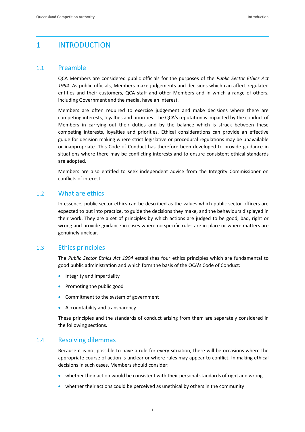# <span id="page-4-0"></span>1 INTRODUCTION

#### <span id="page-4-1"></span>1.1 Preamble

QCA Members are considered public officials for the purposes of the *Public Sector Ethics Act 1994*. As public officials, Members make judgements and decisions which can affect regulated entities and their customers, QCA staff and other Members and in which a range of others, including Government and the media, have an interest.

Members are often required to exercise judgement and make decisions where there are competing interests, loyalties and priorities. The QCA's reputation is impacted by the conduct of Members in carrying out their duties and by the balance which is struck between these competing interests, loyalties and priorities. Ethical considerations can provide an effective guide for decision making where strict legislative or procedural regulations may be unavailable or inappropriate. This Code of Conduct has therefore been developed to provide guidance in situations where there may be conflicting interests and to ensure consistent ethical standards are adopted.

Members are also entitled to seek independent advice from the Integrity Commissioner on conflicts of interest.

#### <span id="page-4-2"></span>1.2 What are ethics

In essence, public sector ethics can be described as the values which public sector officers are expected to put into practice, to guide the decisions they make, and the behaviours displayed in their work. They are a set of principles by which actions are judged to be good, bad, right or wrong and provide guidance in cases where no specific rules are in place or where matters are genuinely unclear.

#### <span id="page-4-3"></span>1.3 Ethics principles

The *Public Sector Ethics Act 1994* establishes four ethics principles which are fundamental to good public administration and which form the basis of the QCA's Code of Conduct:

- **•** Integrity and impartiality
- Promoting the public good
- Commitment to the system of government
- Accountability and transparency

These principles and the standards of conduct arising from them are separately considered in the following sections.

#### <span id="page-4-4"></span>1.4 Resolving dilemmas

Because it is not possible to have a rule for every situation, there will be occasions where the appropriate course of action is unclear or where rules may appear to conflict. In making ethical decisions in such cases, Members should consider:

- whether their action would be consistent with their personal standards of right and wrong
- whether their actions could be perceived as unethical by others in the community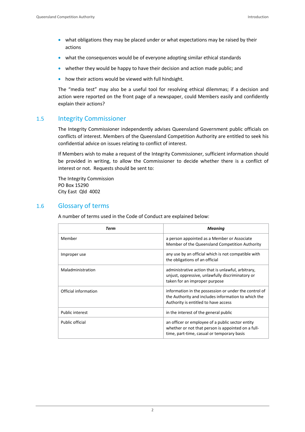- what obligations they may be placed under or what expectations may be raised by their actions
- what the consequences would be of everyone adopting similar ethical standards
- whether they would be happy to have their decision and action made public; and
- how their actions would be viewed with full hindsight.

The "media test" may also be a useful tool for resolving ethical dilemmas; if a decision and action were reported on the front page of a newspaper, could Members easily and confidently explain their actions?

#### <span id="page-5-0"></span>1.5 Integrity Commissioner

The Integrity Commissioner independently advises Queensland Government public officials on conflicts of interest. Members of the Queensland Competition Authority are entitled to seek his confidential advice on issues relating to conflict of interest.

If Members wish to make a request of the Integrity Commissioner, sufficient information should be provided in writing, to allow the Commissioner to decide whether there is a conflict of interest or not. Requests should be sent to:

The Integrity Commission PO Box 15290 City East Qld 4002

#### <span id="page-5-1"></span>1.6 Glossary of terms

A number of terms used in the Code of Conduct are explained below:

| Term                 | <b>Meaning</b>                                                                                                                                       |
|----------------------|------------------------------------------------------------------------------------------------------------------------------------------------------|
| Member               | a person appointed as a Member or Associate<br>Member of the Queensland Competition Authority                                                        |
| Improper use         | any use by an official which is not compatible with<br>the obligations of an official                                                                |
| Maladministration    | administrative action that is unlawful, arbitrary,<br>unjust, oppressive, unlawfully discriminatory or<br>taken for an improper purpose              |
| Official information | information in the possession or under the control of<br>the Authority and includes information to which the<br>Authority is entitled to have access |
| Public interest      | in the interest of the general public                                                                                                                |
| Public official      | an officer or employee of a public sector entity<br>whether or not that person is appointed on a full-<br>time, part-time, casual or temporary basis |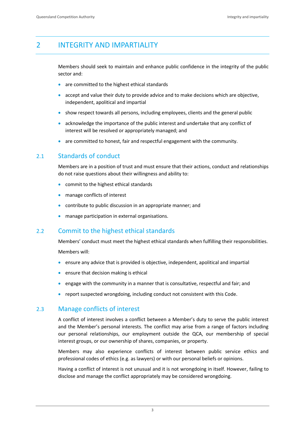# <span id="page-6-0"></span>2 INTEGRITY AND IMPARTIALITY

Members should seek to maintain and enhance public confidence in the integrity of the public sector and:

- are committed to the highest ethical standards
- accept and value their duty to provide advice and to make decisions which are objective, independent, apolitical and impartial
- show respect towards all persons, including employees, clients and the general public
- acknowledge the importance of the public interest and undertake that any conflict of interest will be resolved or appropriately managed; and
- are committed to honest, fair and respectful engagement with the community.

#### <span id="page-6-1"></span>2.1 Standards of conduct

Members are in a position of trust and must ensure that their actions, conduct and relationships do not raise questions about their willingness and ability to:

- commit to the highest ethical standards
- manage conflicts of interest
- contribute to public discussion in an appropriate manner; and
- manage participation in external organisations.

#### <span id="page-6-2"></span>2.2 Commit to the highest ethical standards

Members' conduct must meet the highest ethical standards when fulfilling their responsibilities. Members will:

- ensure any advice that is provided is objective, independent, apolitical and impartial
- $\bullet$  ensure that decision making is ethical
- engage with the community in a manner that is consultative, respectful and fair; and
- report suspected wrongdoing, including conduct not consistent with this Code.

#### <span id="page-6-3"></span>2.3 Manage conflicts of interest

A conflict of interest involves a conflict between a Member's duty to serve the public interest and the Member's personal interests. The conflict may arise from a range of factors including our personal relationships, our employment outside the QCA, our membership of special interest groups, or our ownership of shares, companies, or property.

Members may also experience conflicts of interest between public service ethics and professional codes of ethics (e.g. as lawyers) or with our personal beliefs or opinions.

Having a conflict of interest is not unusual and it is not wrongdoing in itself. However, failing to disclose and manage the conflict appropriately may be considered wrongdoing.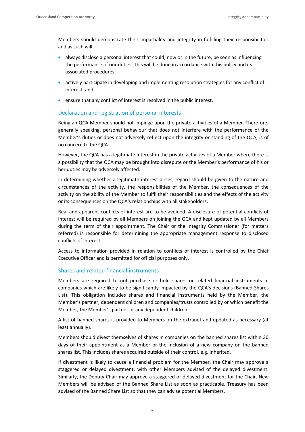Members should demonstrate their impartiality and integrity in fulfilling their responsibilities and as such will:

- always disclose a personal interest that could, now or in the future, be seen as influencing the performance of our duties. This will be done in accordance with this policy and its associated procedures;
- actively participate in developing and implementing resolution strategies for any conflict of interest; and
- ensure that any conflict of interest is resolved in the public interest.

#### Declaration and registration of personal interests

Being an QCA Member should not impinge upon the private activities of a Member. Therefore, generally speaking, personal behaviour that does not interfere with the performance of the Member's duties or does not adversely reflect upon the integrity or standing of the QCA, is of no concern to the QCA.

However, the QCA has a legitimate interest in the private activities of a Member where there is a possibility that the QCA may be brought into disrepute or the Member's performance of his or her duties may be adversely affected.

In determining whether a legitimate interest arises, regard should be given to the nature and circumstances of the activity, the responsibilities of the Member, the consequences of the activity on the ability of the Member to fulfil their responsibilities and the effects of the activity or its consequences on the QCA's relationships with all stakeholders.

Real and apparent conflicts of interest are to be avoided. A disclosure of potential conflicts of interest will be required by all Members on joining the QCA and kept updated by all Members during the term of their appointment. The Chair or the Integrity Commissioner (for matters referred) is responsible for determining the appropriate management response to disclosed conflicts of interest.

Access to information provided in relation to conflicts of interest is controlled by the Chief Executive Officer and is permitted for official purposes only.

#### Shares and related financial instruments

Members are required to not purchase or hold shares or related financial instruments in companies which are likely to be significantly impacted by the QCA's decisions (Banned Shares List). This obligation includes shares and financial instruments held by the Member, the Member's partner, dependent children and companies/trusts controlled by or which benefit the Member, the Member's partner or any dependent children.

A list of banned shares is provided to Members on the extranet and updated as necessary (at least annually).

Members should divest themselves of shares in companies on the banned shares list within 30 days of their appointment as a Member or the inclusion of a new company on the banned shares list. This includes shares acquired outside of their control, e.g. inherited.

If divestment is likely to cause a financial problem for the Member, the Chair may approve a staggered or delayed divestment, with other Members advised of the delayed divestment. Similarly, the Deputy Chair may approve a staggered or delayed divestment for the Chair. New Members will be advised of the Banned Share List as soon as practicable. Treasury has been advised of the Banned Share List so that they can advise potential Members.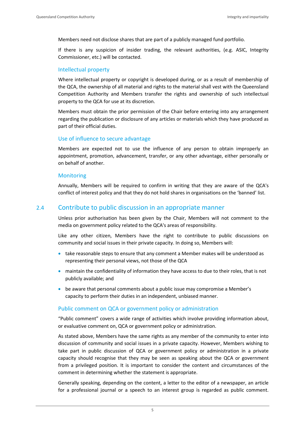Members need not disclose shares that are part of a publicly managed fund portfolio.

If there is any suspicion of insider trading, the relevant authorities, (e.g. ASIC, Integrity Commissioner, etc.) will be contacted.

#### Intellectual property

Where intellectual property or copyright is developed during, or as a result of membership of the QCA, the ownership of all material and rights to the material shall vest with the Queensland Competition Authority and Members transfer the rights and ownership of such intellectual property to the QCA for use at its discretion.

Members must obtain the prior permission of the Chair before entering into any arrangement regarding the publication or disclosure of any articles or materials which they have produced as part of their official duties.

#### Use of influence to secure advantage

Members are expected not to use the influence of any person to obtain improperly an appointment, promotion, advancement, transfer, or any other advantage, either personally or on behalf of another.

#### **Monitoring**

Annually, Members will be required to confirm in writing that they are aware of the QCA's conflict of interest policy and that they do not hold shares in organisations on the 'banned' list.

#### <span id="page-8-0"></span>2.4 Contribute to public discussion in an appropriate manner

Unless prior authorisation has been given by the Chair, Members will not comment to the media on government policy related to the QCA's areas of responsibility.

Like any other citizen, Members have the right to contribute to public discussions on community and social issues in their private capacity. In doing so, Members will:

- take reasonable steps to ensure that any comment a Member makes will be understood as representing their personal views, not those of the QCA
- maintain the confidentiality of information they have access to due to their roles, that is not publicly available; and
- be aware that personal comments about a public issue may compromise a Member's capacity to perform their duties in an independent, unbiased manner.

#### Public comment on QCA or government policy or administration

"Public comment" covers a wide range of activities which involve providing information about, or evaluative comment on, QCA or government policy or administration.

As stated above, Members have the same rights as any member of the community to enter into discussion of community and social issues in a private capacity. However, Members wishing to take part in public discussion of QCA or government policy or administration in a private capacity should recognise that they may be seen as speaking about the QCA or government from a privileged position. It is important to consider the content and circumstances of the comment in determining whether the statement is appropriate.

Generally speaking, depending on the content, a letter to the editor of a newspaper, an article for a professional journal or a speech to an interest group is regarded as public comment.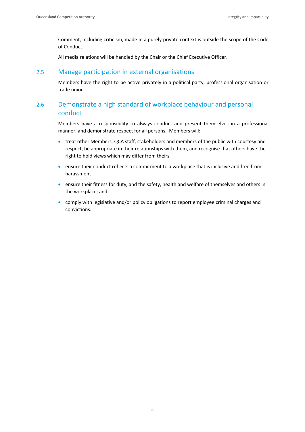Comment, including criticism, made in a purely private context is outside the scope of the Code of Conduct.

All media relations will be handled by the Chair or the Chief Executive Officer.

#### <span id="page-9-0"></span>2.5 Manage participation in external organisations

Members have the right to be active privately in a political party, professional organisation or trade union.

## <span id="page-9-1"></span>2.6 Demonstrate a high standard of workplace behaviour and personal conduct

Members have a responsibility to always conduct and present themselves in a professional manner, and demonstrate respect for all persons. Members will:

- treat other Members, QCA staff, stakeholders and members of the public with courtesy and respect, be appropriate in their relationships with them, and recognise that others have the right to hold views which may differ from theirs
- ensure their conduct reflects a commitment to a workplace that is inclusive and free from harassment
- ensure their fitness for duty, and the safety, health and welfare of themselves and others in the workplace; and
- comply with legislative and/or policy obligations to report employee criminal charges and convictions.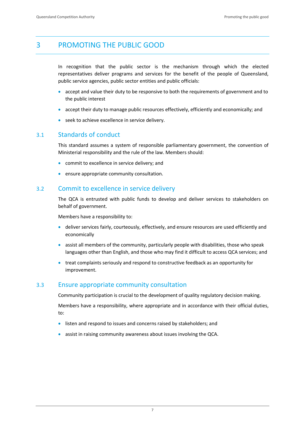# <span id="page-10-0"></span>3 PROMOTING THE PUBLIC GOOD

In recognition that the public sector is the mechanism through which the elected representatives deliver programs and services for the benefit of the people of Queensland, public service agencies, public sector entities and public officials:

- accept and value their duty to be responsive to both the requirements of government and to the public interest
- accept their duty to manage public resources effectively, efficiently and economically; and
- **•** seek to achieve excellence in service delivery.

#### <span id="page-10-1"></span>3.1 Standards of conduct

This standard assumes a system of responsible parliamentary government, the convention of Ministerial responsibility and the rule of the law. Members should:

- **•** commit to excellence in service delivery; and
- ensure appropriate community consultation.

#### <span id="page-10-2"></span>3.2 Commit to excellence in service delivery

The QCA is entrusted with public funds to develop and deliver services to stakeholders on behalf of government.

Members have a responsibility to:

- deliver services fairly, courteously, effectively, and ensure resources are used efficiently and economically
- assist all members of the community, particularly people with disabilities, those who speak languages other than English, and those who may find it difficult to access QCA services; and
- treat complaints seriously and respond to constructive feedback as an opportunity for improvement.

#### <span id="page-10-3"></span>3.3 Ensure appropriate community consultation

Community participation is crucial to the development of quality regulatory decision making.

Members have a responsibility, where appropriate and in accordance with their official duties, to:

- listen and respond to issues and concerns raised by stakeholders; and
- assist in raising community awareness about issues involving the QCA.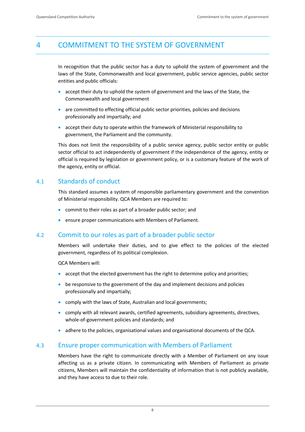# <span id="page-11-0"></span>4 COMMITMENT TO THE SYSTEM OF GOVERNMENT

In recognition that the public sector has a duty to uphold the system of government and the laws of the State, Commonwealth and local government, public service agencies, public sector entities and public officials:

- accept their duty to uphold the system of government and the laws of the State, the Commonwealth and local government
- are committed to effecting official public sector priorities, policies and decisions professionally and impartially; and
- accept their duty to operate within the framework of Ministerial responsibility to government, the Parliament and the community.

This does not limit the responsibility of a public service agency, public sector entity or public sector official to act independently of government if the independence of the agency, entity or official is required by legislation or government policy, or is a customary feature of the work of the agency, entity or official.

#### <span id="page-11-1"></span>4.1 Standards of conduct

This standard assumes a system of responsible parliamentary government and the convention of Ministerial responsibility. QCA Members are required to:

- commit to their roles as part of a broader public sector; and
- ensure proper communications with Members of Parliament.

#### <span id="page-11-2"></span>4.2 Commit to our roles as part of a broader public sector

Members will undertake their duties, and to give effect to the policies of the elected government, regardless of its political complexion.

QCA Members will:

- accept that the elected government has the right to determine policy and priorities;
- be responsive to the government of the day and implement decisions and policies professionally and impartially;
- comply with the laws of State, Australian and local governments;
- comply with all relevant awards, certified agreements, subsidiary agreements, directives, whole-of-government policies and standards; and
- adhere to the policies, organisational values and organisational documents of the QCA.

#### <span id="page-11-3"></span>4.3 Ensure proper communication with Members of Parliament

Members have the right to communicate directly with a Member of Parliament on any issue affecting us as a private citizen. In communicating with Members of Parliament as private citizens, Members will maintain the confidentiality of information that is not publicly available, and they have access to due to their role.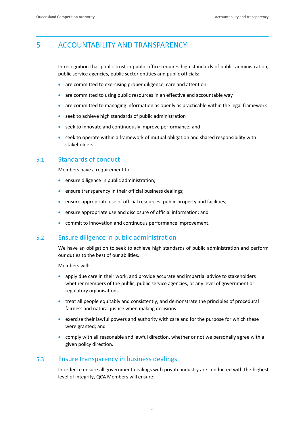# <span id="page-12-0"></span>5 ACCOUNTABILITY AND TRANSPARENCY

In recognition that public trust in public office requires high standards of public administration, public service agencies, public sector entities and public officials:

- are committed to exercising proper diligence, care and attention
- are committed to using public resources in an effective and accountable way
- are committed to managing information as openly as practicable within the legal framework
- seek to achieve high standards of public administration
- seek to innovate and continuously improve performance; and
- seek to operate within a framework of mutual obligation and shared responsibility with stakeholders.

#### <span id="page-12-1"></span>5.1 Standards of conduct

Members have a requirement to:

- **•** ensure diligence in public administration;
- **ensure transparency in their official business dealings;**
- ensure appropriate use of official resources, public property and facilities;
- ensure appropriate use and disclosure of official information; and
- commit to innovation and continuous performance improvement.

#### <span id="page-12-2"></span>5.2 Ensure diligence in public administration

We have an obligation to seek to achieve high standards of public administration and perform our duties to the best of our abilities.

Members will:

- apply due care in their work, and provide accurate and impartial advice to stakeholders whether members of the public, public service agencies, or any level of government or regulatory organisations
- treat all people equitably and consistently, and demonstrate the principles of procedural fairness and natural justice when making decisions
- exercise their lawful powers and authority with care and for the purpose for which these were granted; and
- comply with all reasonable and lawful direction, whether or not we personally agree with a given policy direction.

#### <span id="page-12-3"></span>5.3 Ensure transparency in business dealings

In order to ensure all government dealings with private industry are conducted with the highest level of integrity, QCA Members will ensure: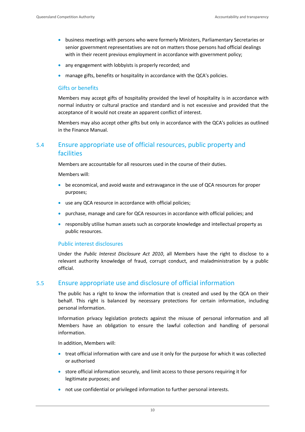- **•** business meetings with persons who were formerly Ministers, Parliamentary Secretaries or senior government representatives are not on matters those persons had official dealings with in their recent previous employment in accordance with government policy;
- any engagement with lobbyists is properly recorded; and
- manage gifts, benefits or hospitality in accordance with the QCA's policies.

#### Gifts or benefits

Members may accept gifts of hospitality provided the level of hospitality is in accordance with normal industry or cultural practice and standard and is not excessive and provided that the acceptance of it would not create an apparent conflict of interest.

Members may also accept other gifts but only in accordance with the QCA's policies as outlined in the Finance Manual.

### <span id="page-13-0"></span>5.4 Ensure appropriate use of official resources, public property and facilities

Members are accountable for all resources used in the course of their duties.

Members will:

- be economical, and avoid waste and extravagance in the use of QCA resources for proper purposes;
- use any QCA resource in accordance with official policies;
- purchase, manage and care for QCA resources in accordance with official policies; and
- responsibly utilise human assets such as corporate knowledge and intellectual property as public resources.

#### Public interest disclosures

Under the *Public Interest Disclosure Act 2010*, all Members have the right to disclose to a relevant authority knowledge of fraud, corrupt conduct, and maladministration by a public official.

#### <span id="page-13-1"></span>5.5 Ensure appropriate use and disclosure of official information

The public has a right to know the information that is created and used by the QCA on their behalf. This right is balanced by necessary protections for certain information, including personal information.

Information privacy legislation protects against the misuse of personal information and all Members have an obligation to ensure the lawful collection and handling of personal information.

In addition, Members will:

- treat official information with care and use it only for the purpose for which it was collected or authorised
- store official information securely, and limit access to those persons requiring it for legitimate purposes; and
- not use confidential or privileged information to further personal interests.